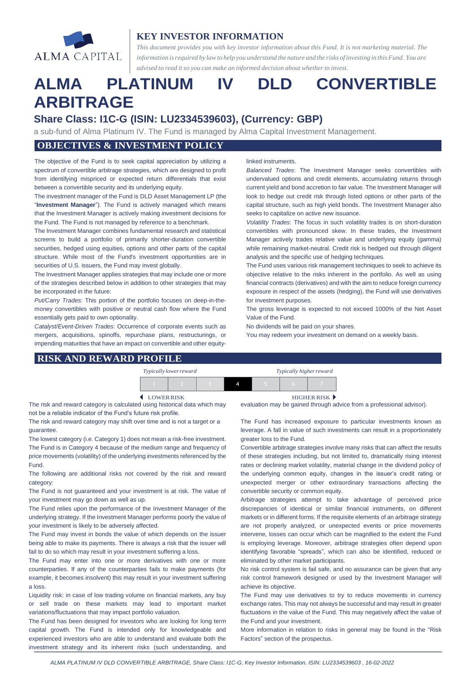

## **KEY INVESTOR INFORMATION**

*This document provides you with key investor information about this Fund. It is not marketing material. The* information is required by law to help you understand the nature and the risks of investing in this Fund. You are *advised to read it so you can make an informed decision about whetherto invest.*

# **ALMA PLATINUM IV DLD CONVERTIBLE ARBITRAGE**

# **Share Class: I1C-G (ISIN: LU2334539603), (Currency: GBP)**

a sub-fund of Alma Platinum IV. The Fund is managed by Alma Capital Investment Management.

# **OBJECTIVES & INVESTMENT POLICY**

The objective of the Fund is to seek capital appreciation by utilizing a spectrum of convertible arbitrage strategies, which are designed to profit from identifying mispriced or expected return differentials that exist between a convertible security and its underlying equity.

The investment manager of the Fund is DLD Asset Management LP (the "**Investment Manager**"). The Fund is actively managed which means that the Investment Manager is actively making investment decisions for the Fund. The Fund is not managed by reference to a benchmark.

The Investment Manager combines fundamental research and statistical screens to build a portfolio of primarily shorter-duration convertible securities, hedged using equities, options and other parts of the capital structure. While most of the Fund's investment opportunities are in securities of U.S. issuers, the Fund may invest globally.

The Investment Manager applies strategies that may include one or more of the strategies described below in addition to other strategies that may be incorporated in the future:

*Put/Carry Trades*: This portion of the portfolio focuses on deep-in-themoney convertibles with positive or neutral cash flow where the Fund essentially gets paid to own optionality.

*Catalyst/Event-Driven Trades*: Occurrence of corporate events such as mergers, acquisitions, spinoffs, repurchase plans, restructurings, or impending maturities that have an impact on convertible and other equity-

#### linked instruments.

*Balanced Trades*: The Investment Manager seeks convertibles with undervalued options and credit elements, accumulating returns through current yield and bond accretion to fair value. The Investment Manager will look to hedge out credit risk through listed options or other parts of the capital structure, such as high yield bonds. The Investment Manager also seeks to capitalize on active new issuance.

*Volatility Trades*: The focus in such volatility trades is on short-duration convertibles with pronounced skew. In these trades, the Investment Manager actively trades relative value and underlying equity (gamma) while remaining market-neutral. Credit risk is hedged out through diligent analysis and the specific use of hedging techniques.

The Fund uses various risk management techniques to seek to achieve its objective relative to the risks inherent in the portfolio. As well as using financial contracts (derivatives) and with the aim to reduce foreign currency exposure in respect of the assets (hedging), the Fund will use derivatives for investment purposes.

The gross leverage is expected to not exceed 1000% of the Net Asset Value of the Fund.

No dividends will be paid on your shares.

You may redeem your investment on demand on a weekly basis.

# **RISK AND REWARD PROFILE** *Typically lowerreward Typically higherreward* 1 2 3 4 5 6 7 LOWERRISK HIGHER RISK

The risk and reward category is calculated using historical data which may not be a reliable indicator of the Fund's future risk profile.

The risk and reward category may shift over time and is not a target or a guarantee.

The lowest category (i.e. Category 1) does not mean a risk-free investment. The Fund is in Category 4 because of the medium range and frequency of price movements (volatility) of the underlying investments referenced by the Fund.

The following are additional risks not covered by the risk and reward category:

The Fund is not guaranteed and your investment is at risk. The value of your investment may go down as well as up.

The Fund relies upon the performance of the Investment Manager of the underlying strategy. If the Investment Manager performs poorly the value of your investment is likely to be adversely affected.

The Fund may invest in bonds the value of which depends on the issuer being able to make its payments. There is always a risk that the issuer will fail to do so which may result in your investment suffering a loss.

The Fund may enter into one or more derivatives with one or more counterparties. If any of the counterparties fails to make payments (for example, it becomes insolvent) this may result in your investment suffering a loss.

Liquidity risk: in case of low trading volume on financial markets, any buy or sell trade on these markets may lead to important market variations/fluctuations that may impact portfolio valuation.

The Fund has been designed for investors who are looking for long term capital growth. The Fund is intended only for knowledgeable and experienced investors who are able to understand and evaluate both the investment strategy and its inherent risks (such understanding, and evaluation may be gained through advice from a professional advisor).

The Fund has increased exposure to particular investments known as leverage. A fall in value of such investments can result in a proportionately greater loss to the Fund.

Convertible arbitrage strategies involve many risks that can affect the results of these strategies including, but not limited to, dramatically rising interest rates or declining market volatility, material change in the dividend policy of the underlying common equity, changes in the issuer's credit rating or unexpected merger or other extraordinary transactions affecting the convertible security or common equity.

Arbitrage strategies attempt to take advantage of perceived price discrepancies of identical or similar financial instruments, on different markets or in different forms. If the requisite elements of an arbitrage strategy are not properly analyzed, or unexpected events or price movements intervene, losses can occur which can be magnified to the extent the Fund is employing leverage. Moreover, arbitrage strategies often depend upon identifying favorable "spreads", which can also be identified, reduced or eliminated by other market participants.

No risk control system is fail safe, and no assurance can be given that any risk control framework designed or used by the Investment Manager will achieve its objective.

The Fund may use derivatives to try to reduce movements in currency exchange rates. This may not always be successful and may result in greater fluctuations in the value of the Fund. This may negatively affect the value of the Fund and your investment.

More information in relation to risks in general may be found in the "Risk Factors" section of the prospectus.